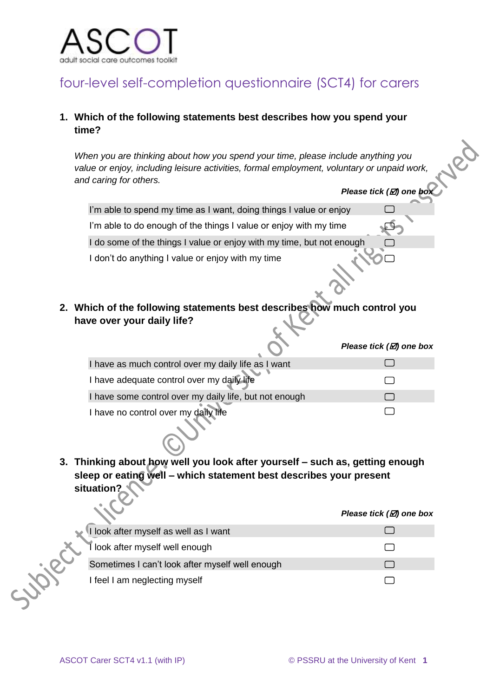

## four-level self-completion questionnaire (SCT4) for carers

### **1. Which of the following statements best describes how you spend your time?**

*When you are thinking about how you spend your time, please include anything you value or enjoy, including leisure activities, formal employment, voluntary or unpaid work, and caring for others.* 

|                                                                          | Please tick (⊠) one box             |  |  |  |
|--------------------------------------------------------------------------|-------------------------------------|--|--|--|
| I'm able to spend my time as I want, doing things I value or enjoy       |                                     |  |  |  |
| I'm able to do enough of the things I value or enjoy with my time        |                                     |  |  |  |
| I do some of the things I value or enjoy with my time, but not enough    |                                     |  |  |  |
| I don't do anything I value or enjoy with my time                        |                                     |  |  |  |
| 2. Which of the following statements best describes how much control you |                                     |  |  |  |
| have over your daily life?                                               |                                     |  |  |  |
|                                                                          | Please tick $(\varnothing)$ one box |  |  |  |
| I have as much control over my daily life as I want                      |                                     |  |  |  |
| I have adequate control over my daily life                               |                                     |  |  |  |
| I have some control over my daily life, but not enough                   |                                     |  |  |  |
| I have no control over my daily life                                     |                                     |  |  |  |
|                                                                          |                                     |  |  |  |

**3. Thinking about how well you look after yourself – such as, getting enough sleep or eating well – which statement best describes your present situation?** 

|                                                 | Please tick $(\varnothing)$ one box |
|-------------------------------------------------|-------------------------------------|
| I look after myself as well as I want           |                                     |
| look after myself well enough                   |                                     |
| Sometimes I can't look after myself well enough |                                     |
| I feel I am neglecting myself                   |                                     |
|                                                 |                                     |

 $\sim$ 

Led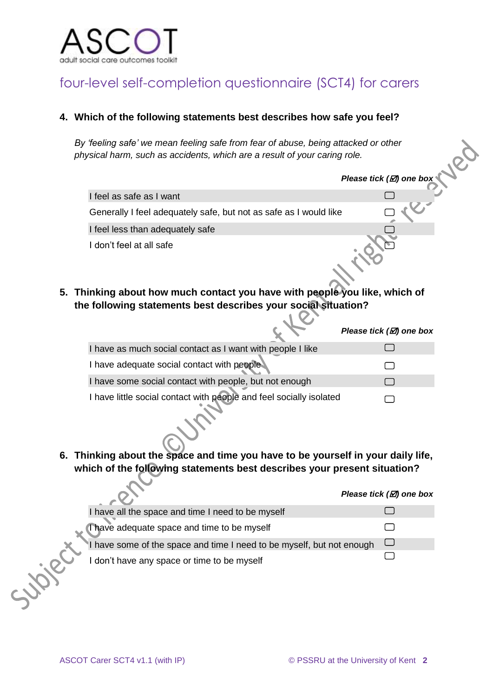

# four-level self-completion questionnaire (SCT4) for carers

### **4. Which of the following statements best describes how safe you feel?**

*By 'feeling safe' we mean feeling safe from fear of abuse, being attacked or other physical harm, such as accidents, which are a result of your caring role.* 

|    |                                                                                                                                                                       | Please tick ( $\boxtimes$ ) one box |  |  |  |
|----|-----------------------------------------------------------------------------------------------------------------------------------------------------------------------|-------------------------------------|--|--|--|
|    | I feel as safe as I want                                                                                                                                              |                                     |  |  |  |
|    | Generally I feel adequately safe, but not as safe as I would like                                                                                                     |                                     |  |  |  |
|    | I feel less than adequately safe                                                                                                                                      |                                     |  |  |  |
| 5. | I don't feel at all safe<br>Thinking about how much contact you have with people you like, which of<br>the following statements best describes your social situation? |                                     |  |  |  |
|    |                                                                                                                                                                       | Please tick $(\mathbb{Z})$ one box  |  |  |  |
|    | I have as much social contact as I want with people I like                                                                                                            |                                     |  |  |  |
|    | I have adequate social contact with people                                                                                                                            |                                     |  |  |  |
|    | I have some social contact with people, but not enough                                                                                                                |                                     |  |  |  |
|    | I have little social contact with people and feel socially isolated                                                                                                   |                                     |  |  |  |

**6. Thinking about the space and time you have to be yourself in your daily life, which of the following statements best describes your present situation?** 

|                                                                       | Please tick $(\varnothing)$ one box |
|-----------------------------------------------------------------------|-------------------------------------|
| I have all the space and time I need to be myself                     |                                     |
| Thave adequate space and time to be myself                            |                                     |
| I have some of the space and time I need to be myself, but not enough |                                     |
| I don't have any space or time to be myself                           |                                     |